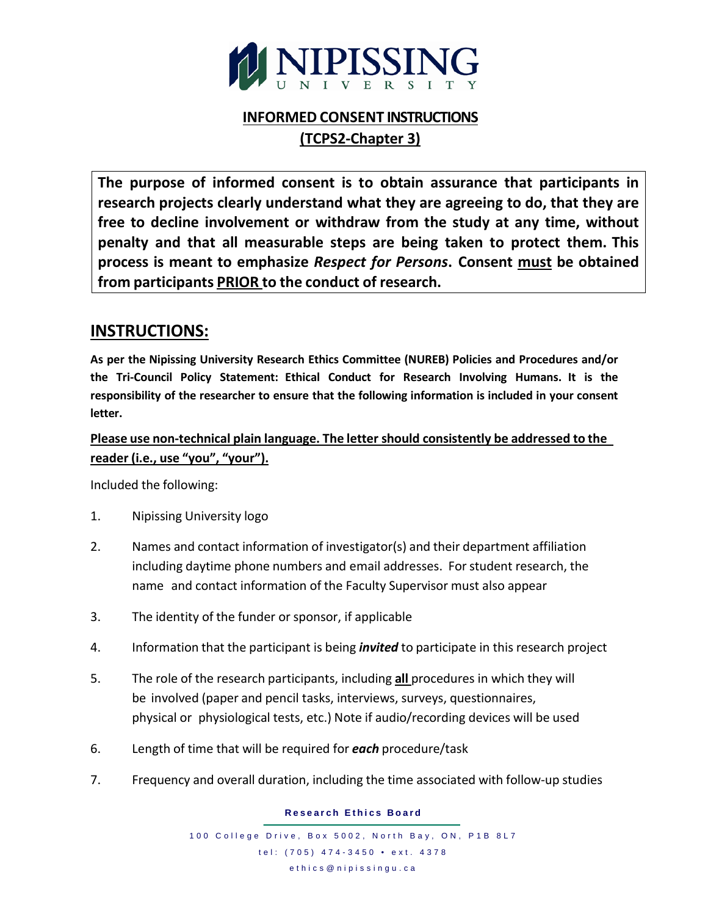

# **INFORMED CONSENT INSTRUCTIONS (TCPS2-Chapter 3)**

**The purpose of informed consent is to obtain assurance that participants in research projects clearly understand what they are agreeing to do, that they are free to decline involvement or withdraw from the study at any time, without penalty and that all measurable steps are being taken to protect them. This process is meant to emphasize** *Respect for Persons***. Consent must be obtained from participants PRIOR to the conduct of research.**

## **INSTRUCTIONS:**

**As per the Nipissing University Research Ethics Committee (NUREB) Policies and Procedures and/or the Tri-Council Policy Statement: Ethical Conduct for Research Involving Humans. It is the responsibility of the researcher to ensure that the following information is included in your consent letter.**

### **Please use non-technical plain language. The letter should consistently be addressed to the reader (i.e., use "you", "your").**

Included the following:

- 1. Nipissing University logo
- 2. Names and contact information of investigator(s) and their department affiliation including daytime phone numbers and email addresses. For student research, the name and contact information of the Faculty Supervisor must also appear
- 3. The identity of the funder or sponsor, if applicable
- 4. Information that the participant is being *invited* to participate in this research project
- 5. The role of the research participants, including **all** procedures in which they will be involved (paper and pencil tasks, interviews, surveys, questionnaires, physical or physiological tests, etc.) Note if audio/recording devices will be used
- 6. Length of time that will be required for *each* procedure/task
- 7. Frequency and overall duration, including the time associated with follow-up studies

**Research Ethics Board**

100 College Drive, Box 5002, North Bay, ON, P1B 8L7 tel: (705) 474 - 3450 • ext. 4378 ethics@nipissingu.ca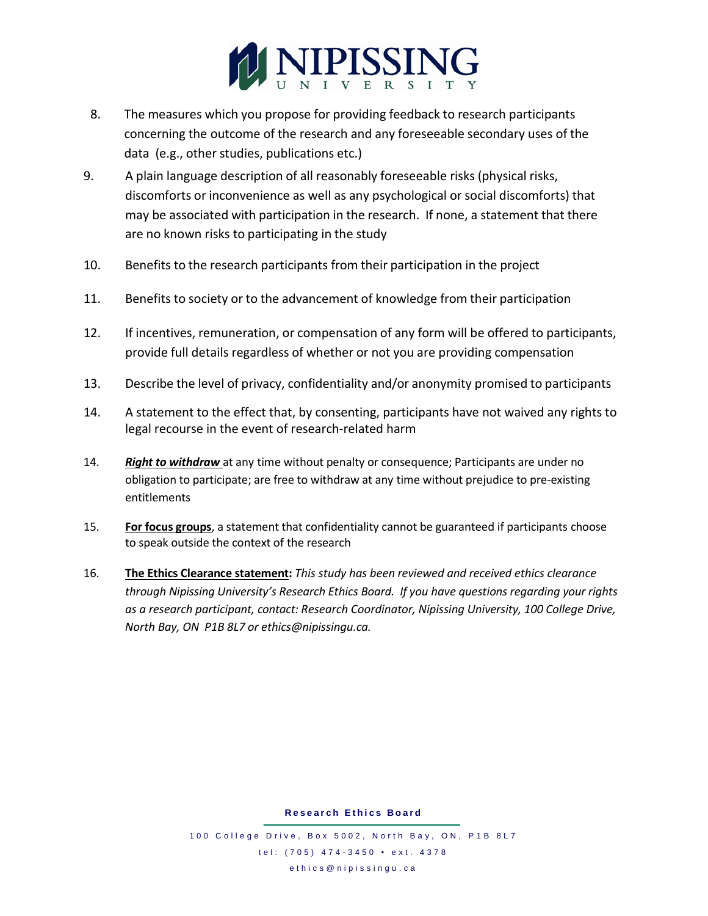

- 8. The measures which you propose for providing feedback to research participants concerning the outcome of the research and any foreseeable secondary uses of the data (e.g., other studies, publications etc.)
- 9. A plain language description of all reasonably foreseeable risks (physical risks, discomforts or inconvenience as well as any psychological or social discomforts) that may be associated with participation in the research. If none, a statement that there are no known risks to participating in the study
- 10. Benefits to the research participants from their participation in the project
- 11. Benefits to society or to the advancement of knowledge from their participation
- 12. If incentives, remuneration, or compensation of any form will be offered to participants, provide full details regardless of whether or not you are providing compensation
- 13. Describe the level of privacy, confidentiality and/or anonymity promised to participants
- 14. A statement to the effect that, by consenting, participants have not waived any rights to legal recourse in the event of research-related harm
- 14. *Right to withdraw* at any time without penalty or consequence; Participants are under no obligation to participate; are free to withdraw at any time without prejudice to pre-existing entitlements
- 15. **For focus groups**, a statement that confidentiality cannot be guaranteed if participants choose to speak outside the context of the research
- 16. **The Ethics Clearance statement:** *This study has been reviewed and received ethics clearance through Nipissing University's Research Ethics Board. If you have questions regarding your rights as a research participant, contact: Research Coordinator, Nipissing University, 100 College Drive, North Bay, ON P1B 8L7 or [ethics@nipissingu.ca.](mailto:ethics@nipissingu.ca)*

**Research Ethics Board**

100 College Drive, Box 5002, North Bay, ON, P1B 8L7 tel: (705) 474 - 3450 • ext. 4378 ethics@nipissingu.ca